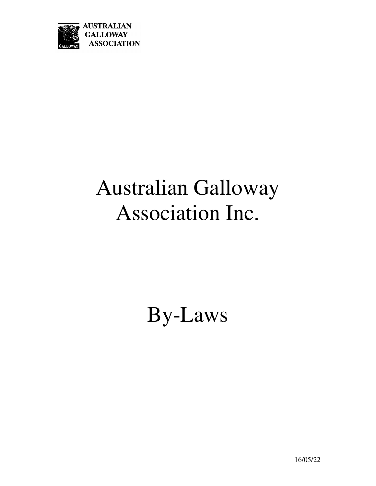

# Australian Galloway Association Inc.

By-Laws

16/05/22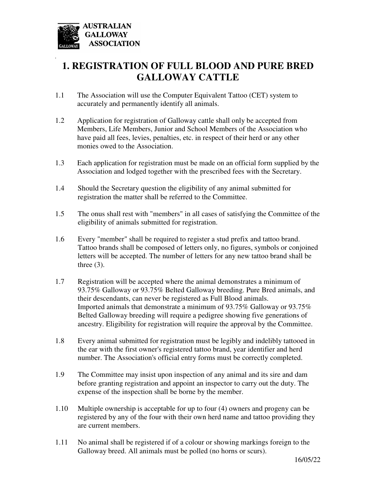

*.* 

# **1. REGISTRATION OF FULL BLOOD AND PURE BRED GALLOWAY CATTLE**

- 1.1 The Association will use the Computer Equivalent Tattoo (CET) system to accurately and permanently identify all animals.
- 1.2 Application for registration of Galloway cattle shall only be accepted from Members, Life Members, Junior and School Members of the Association who have paid all fees, levies, penalties, etc. in respect of their herd or any other monies owed to the Association.
- 1.3 Each application for registration must be made on an official form supplied by the Association and lodged together with the prescribed fees with the Secretary.
- 1.4 Should the Secretary question the eligibility of any animal submitted for registration the matter shall be referred to the Committee.
- 1.5 The onus shall rest with "members" in all cases of satisfying the Committee of the eligibility of animals submitted for registration.
- 1.6 Every "member" shall be required to register a stud prefix and tattoo brand. Tattoo brands shall be composed of letters only, no figures, symbols or conjoined letters will be accepted. The number of letters for any new tattoo brand shall be three  $(3)$ .
- 1.7 Registration will be accepted where the animal demonstrates a minimum of 93.75% Galloway or 93.75% Belted Galloway breeding. Pure Bred animals, and their descendants, can never be registered as Full Blood animals. Imported animals that demonstrate a minimum of 93.75% Galloway or 93.75% Belted Galloway breeding will require a pedigree showing five generations of ancestry. Eligibility for registration will require the approval by the Committee.
- 1.8 Every animal submitted for registration must be legibly and indelibly tattooed in the ear with the first owner's registered tattoo brand, year identifier and herd number. The Association's official entry forms must be correctly completed.
- 1.9 The Committee may insist upon inspection of any animal and its sire and dam before granting registration and appoint an inspector to carry out the duty. The expense of the inspection shall be borne by the member.
- 1.10 Multiple ownership is acceptable for up to four (4) owners and progeny can be registered by any of the four with their own herd name and tattoo providing they are current members.
- 1.11 No animal shall be registered if of a colour or showing markings foreign to the Galloway breed. All animals must be polled (no horns or scurs).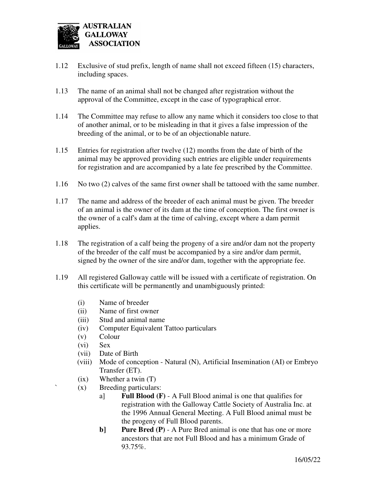

- 1.12 Exclusive of stud prefix, length of name shall not exceed fifteen (15) characters, including spaces.
- 1.13 The name of an animal shall not be changed after registration without the approval of the Committee, except in the case of typographical error.
- 1.14 The Committee may refuse to allow any name which it considers too close to that of another animal, or to be misleading in that it gives a false impression of the breeding of the animal, or to be of an objectionable nature.
- 1.15 Entries for registration after twelve (12) months from the date of birth of the animal may be approved providing such entries are eligible under requirements for registration and are accompanied by a late fee prescribed by the Committee.
- 1.16 No two (2) calves of the same first owner shall be tattooed with the same number.
- 1.17 The name and address of the breeder of each animal must be given. The breeder of an animal is the owner of its dam at the time of conception. The first owner is the owner of a calf's dam at the time of calving, except where a dam permit applies.
- 1.18 The registration of a calf being the progeny of a sire and/or dam not the property of the breeder of the calf must be accompanied by a sire and/or dam permit, signed by the owner of the sire and/or dam, together with the appropriate fee.
- 1.19 All registered Galloway cattle will be issued with a certificate of registration. On this certificate will be permanently and unambiguously printed:
	- (i) Name of breeder
	- (ii) Name of first owner
	- (iii) Stud and animal name
	- (iv) Computer Equivalent Tattoo particulars
	- (v) Colour
	- (vi) Sex
	- (vii) Date of Birth
	- (viii) Mode of conception Natural (N), Artificial Insemination (AI) or Embryo Transfer (ET).
	- (ix) Whether a twin (T)
	- $(x)$  Breeding particulars:
		- a] **Full Blood (F)**  A Full Blood animal is one that qualifies for registration with the Galloway Cattle Society of Australia Inc. at the 1996 Annual General Meeting. A Full Blood animal must be the progeny of Full Blood parents.
		- **b] Pure Bred (P)** A Pure Bred animal is one that has one or more ancestors that are not Full Blood and has a minimum Grade of 93.75%.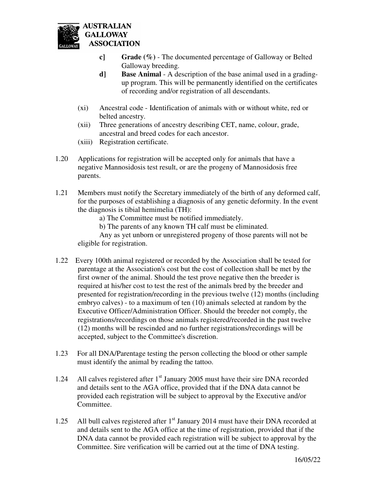

- **c] Grade (%)**  The documented percentage of Galloway or Belted Galloway breeding.
- **d] Base Animal**  A description of the base animal used in a gradingup program. This will be permanently identified on the certificates of recording and/or registration of all descendants.
- (xi) Ancestral code Identification of animals with or without white, red or belted ancestry.
- (xii) Three generations of ancestry describing CET, name, colour, grade, ancestral and breed codes for each ancestor.
- (xiii) Registration certificate.
- 1.20 Applications for registration will be accepted only for animals that have a negative Mannosidosis test result, or are the progeny of Mannosidosis free parents.
- 1.21 Members must notify the Secretary immediately of the birth of any deformed calf, for the purposes of establishing a diagnosis of any genetic deformity. In the event the diagnosis is tibial hemimelia (TH):
	- a) The Committee must be notified immediately.
	- b) The parents of any known TH calf must be eliminated.

 Any as yet unborn or unregistered progeny of those parents will not be eligible for registration.

- 1.22 Every 100th animal registered or recorded by the Association shall be tested for parentage at the Association's cost but the cost of collection shall be met by the first owner of the animal. Should the test prove negative then the breeder is required at his/her cost to test the rest of the animals bred by the breeder and presented for registration/recording in the previous twelve (12) months (including embryo calves) - to a maximum of ten (10) animals selected at random by the Executive Officer/Administration Officer. Should the breeder not comply, the registrations/recordings on those animals registered/recorded in the past twelve (12) months will be rescinded and no further registrations/recordings will be accepted, subject to the Committee's discretion.
- 1.23 For all DNA/Parentage testing the person collecting the blood or other sample must identify the animal by reading the tattoo.
- 1.24 All calves registered after 1<sup>st</sup> January 2005 must have their sire DNA recorded and details sent to the AGA office, provided that if the DNA data cannot be provided each registration will be subject to approval by the Executive and/or Committee.
- 1.25 All bull calves registered after  $1<sup>st</sup>$  January 2014 must have their DNA recorded at and details sent to the AGA office at the time of registration, provided that if the DNA data cannot be provided each registration will be subject to approval by the Committee. Sire verification will be carried out at the time of DNA testing.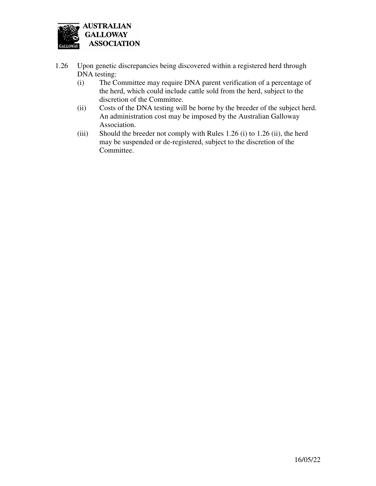

- 1.26 Upon genetic discrepancies being discovered within a registered herd through DNA testing:
	- (i) The Committee may require DNA parent verification of a percentage of the herd, which could include cattle sold from the herd, subject to the discretion of the Committee.
	- (ii) Costs of the DNA testing will be borne by the breeder of the subject herd. An administration cost may be imposed by the Australian Galloway Association.
	- (iii) Should the breeder not comply with Rules 1.26 (i) to 1.26 (ii), the herd may be suspended or de-registered, subject to the discretion of the Committee.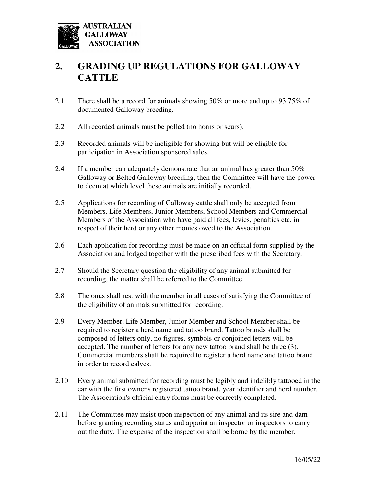

# **2. GRADING UP REGULATIONS FOR GALLOWAY CATTLE**

- 2.1 There shall be a record for animals showing 50% or more and up to 93.75% of documented Galloway breeding.
- 2.2 All recorded animals must be polled (no horns or scurs).
- 2.3 Recorded animals will be ineligible for showing but will be eligible for participation in Association sponsored sales.
- 2.4 If a member can adequately demonstrate that an animal has greater than 50% Galloway or Belted Galloway breeding, then the Committee will have the power to deem at which level these animals are initially recorded.
- 2.5 Applications for recording of Galloway cattle shall only be accepted from Members, Life Members, Junior Members, School Members and Commercial Members of the Association who have paid all fees, levies, penalties etc. in respect of their herd or any other monies owed to the Association.
- 2.6 Each application for recording must be made on an official form supplied by the Association and lodged together with the prescribed fees with the Secretary.
- 2.7 Should the Secretary question the eligibility of any animal submitted for recording, the matter shall be referred to the Committee.
- 2.8 The onus shall rest with the member in all cases of satisfying the Committee of the eligibility of animals submitted for recording.
- 2.9 Every Member, Life Member, Junior Member and School Member shall be required to register a herd name and tattoo brand. Tattoo brands shall be composed of letters only, no figures, symbols or conjoined letters will be accepted. The number of letters for any new tattoo brand shall be three (3). Commercial members shall be required to register a herd name and tattoo brand in order to record calves.
- 2.10 Every animal submitted for recording must be legibly and indelibly tattooed in the ear with the first owner's registered tattoo brand, year identifier and herd number. The Association's official entry forms must be correctly completed.
- 2.11 The Committee may insist upon inspection of any animal and its sire and dam before granting recording status and appoint an inspector or inspectors to carry out the duty. The expense of the inspection shall be borne by the member.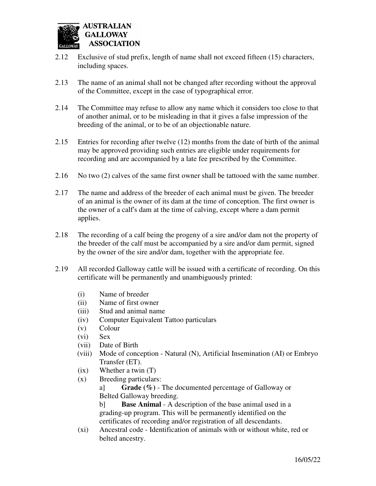

- 2.12 Exclusive of stud prefix, length of name shall not exceed fifteen (15) characters, including spaces.
- 2.13 The name of an animal shall not be changed after recording without the approval of the Committee, except in the case of typographical error.
- 2.14 The Committee may refuse to allow any name which it considers too close to that of another animal, or to be misleading in that it gives a false impression of the breeding of the animal, or to be of an objectionable nature.
- 2.15 Entries for recording after twelve (12) months from the date of birth of the animal may be approved providing such entries are eligible under requirements for recording and are accompanied by a late fee prescribed by the Committee.
- 2.16 No two (2) calves of the same first owner shall be tattooed with the same number.
- 2.17 The name and address of the breeder of each animal must be given. The breeder of an animal is the owner of its dam at the time of conception. The first owner is the owner of a calf's dam at the time of calving, except where a dam permit applies.
- 2.18 The recording of a calf being the progeny of a sire and/or dam not the property of the breeder of the calf must be accompanied by a sire and/or dam permit, signed by the owner of the sire and/or dam, together with the appropriate fee.
- 2.19 All recorded Galloway cattle will be issued with a certificate of recording. On this certificate will be permanently and unambiguously printed:
	- (i) Name of breeder
	- (ii) Name of first owner
	- (iii) Stud and animal name
	- (iv) Computer Equivalent Tattoo particulars
	- (v) Colour
	- (vi) Sex
	- (vii) Date of Birth
	- (viii) Mode of conception Natural (N), Artificial Insemination (AI) or Embryo Transfer (ET).
	- (ix) Whether a twin (T)
	- (x) Breeding particulars:

 a] **Grade (%)** - The documented percentage of Galloway or Belted Galloway breeding.

 b] **Base Animal** - A description of the base animal used in a grading-up program. This will be permanently identified on the certificates of recording and/or registration of all descendants.

 (xi) Ancestral code - Identification of animals with or without white, red or belted ancestry.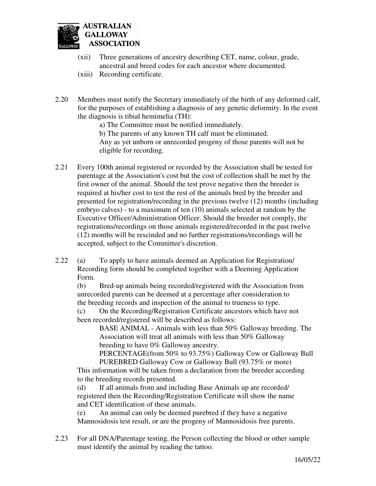

- (xii) Three generations of ancestry describing CET, name, colour, grade, ancestral and breed codes for each ancestor where documented.
- (xiii) Recording certificate.
- 2.20 Members must notify the Secretary immediately of the birth of any deformed calf, for the purposes of establishing a diagnosis of any genetic deformity. In the event the diagnosis is tibial hemimelia (TH):
	- a) The Committee must be notified immediately.

 b) The parents of any known TH calf must be eliminated. Any as yet unborn or unrecorded progeny of those parents will not be eligible for recording.

- 2.21 Every 100th animal registered or recorded by the Association shall be tested for parentage at the Association's cost but the cost of collection shall be met by the first owner of the animal. Should the test prove negative then the breeder is required at his/her cost to test the rest of the animals bred by the breeder and presented for registration/recording in the previous twelve (12) months (including embryo calves) - to a maximum of ten (10) animals selected at random by the Executive Officer/Administration Officer. Should the breeder not comply, the registrations/recordings on those animals registered/recorded in the past twelve (12) months will be rescinded and no further registrations/recordings will be accepted, subject to the Committee's discretion.
- 2.22 (a) To apply to have animals deemed an Application for Registration/ Recording form should be completed together with a Deeming Application Form.

 (b) Bred-up animals being recorded/registered with the Association from unrecorded parents can be deemed at a percentage after consideration to the breeding records and inspection of the animal to trueness to type.

 (c) On the Recording/Registration Certificate ancestors which have not been recorded/registered will be described as follows:

 BASE ANIMAL - Animals with less than 50% Galloway breeding. The Association will treat all animals with less than 50% Galloway breeding to have 0% Galloway ancestry.

 PERCENTAGE(from 50% to 93.75%) Galloway Cow or Galloway Bull PUREBRED Galloway Cow or Galloway Bull (93.75% or more)

 This information will be taken from a declaration from the breeder according to the breeding records presented.

 (d) If all animals from and including Base Animals up are recorded/ registered then the Recording/Registration Certificate will show the name and CET identification of these animals.

 (e) An animal can only be deemed purebred if they have a negative Mannosidosis test result, or are the progeny of Mannosidosis free parents.

2.23 For all DNA/Parentage testing, the Person collecting the blood or other sample must identify the animal by reading the tattoo.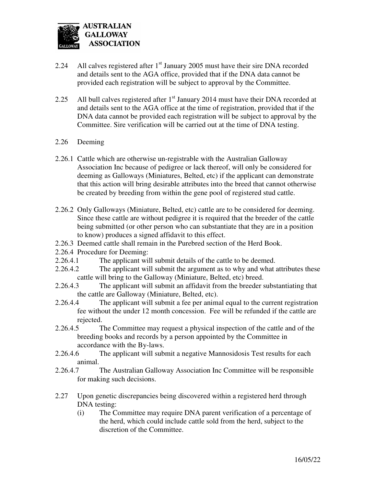

- 2.24 All calves registered after  $1<sup>st</sup>$  January 2005 must have their sire DNA recorded and details sent to the AGA office, provided that if the DNA data cannot be provided each registration will be subject to approval by the Committee.
- 2.25 All bull calves registered after  $1<sup>st</sup>$  January 2014 must have their DNA recorded at and details sent to the AGA office at the time of registration, provided that if the DNA data cannot be provided each registration will be subject to approval by the Committee. Sire verification will be carried out at the time of DNA testing.
- 2.26 Deeming
- 2.26.1 Cattle which are otherwise un-registrable with the Australian Galloway Association Inc because of pedigree or lack thereof, will only be considered for deeming as Galloways (Miniatures, Belted, etc) if the applicant can demonstrate that this action will bring desirable attributes into the breed that cannot otherwise be created by breeding from within the gene pool of registered stud cattle.
- 2.26.2 Only Galloways (Miniature, Belted, etc) cattle are to be considered for deeming. Since these cattle are without pedigree it is required that the breeder of the cattle being submitted (or other person who can substantiate that they are in a position to know) produces a signed affidavit to this effect.
- 2.26.3 Deemed cattle shall remain in the Purebred section of the Herd Book.
- 2.26.4 Procedure for Deeming:
- 2.26.4.1 The applicant will submit details of the cattle to be deemed.
- 2.26.4.2 The applicant will submit the argument as to why and what attributes these cattle will bring to the Galloway (Miniature, Belted, etc) breed.
- 2.26.4.3 The applicant will submit an affidavit from the breeder substantiating that the cattle are Galloway (Miniature, Belted, etc).
- 2.26.4.4 The applicant will submit a fee per animal equal to the current registration fee without the under 12 month concession. Fee will be refunded if the cattle are rejected.
- 2.26.4.5 The Committee may request a physical inspection of the cattle and of the breeding books and records by a person appointed by the Committee in accordance with the By-laws.
- 2.26.4.6 The applicant will submit a negative Mannosidosis Test results for each animal.
- 2.26.4.7 The Australian Galloway Association Inc Committee will be responsible for making such decisions.
- 2.27 Upon genetic discrepancies being discovered within a registered herd through DNA testing:
	- (i) The Committee may require DNA parent verification of a percentage of the herd, which could include cattle sold from the herd, subject to the discretion of the Committee.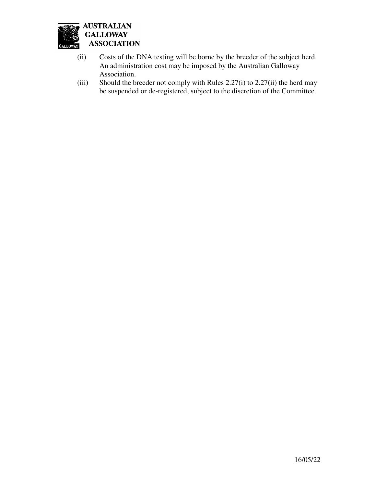

- (ii) Costs of the DNA testing will be borne by the breeder of the subject herd. An administration cost may be imposed by the Australian Galloway
- Association.<br>(iii) Should the b Should the breeder not comply with Rules  $2.27(i)$  to  $2.27(ii)$  the herd may be suspended or de-registered, subject to the discretion of the Committee.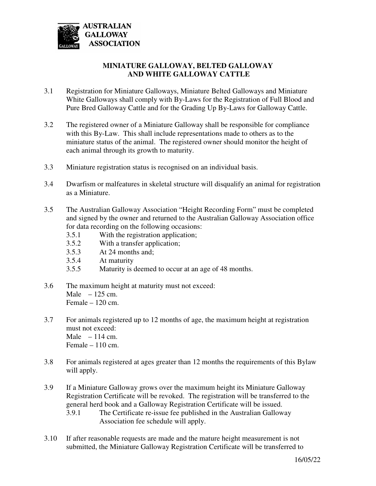

#### **MINIATURE GALLOWAY, BELTED GALLOWAY AND WHITE GALLOWAY CATTLE**

- 3.1 Registration for Miniature Galloways, Miniature Belted Galloways and Miniature White Galloways shall comply with By-Laws for the Registration of Full Blood and Pure Bred Galloway Cattle and for the Grading Up By-Laws for Galloway Cattle.
- 3.2 The registered owner of a Miniature Galloway shall be responsible for compliance with this By-Law. This shall include representations made to others as to the miniature status of the animal. The registered owner should monitor the height of each animal through its growth to maturity.
- 3.3 Miniature registration status is recognised on an individual basis.
- 3.4 Dwarfism or malfeatures in skeletal structure will disqualify an animal for registration as a Miniature.
- 3.5 The Australian Galloway Association "Height Recording Form" must be completed and signed by the owner and returned to the Australian Galloway Association office for data recording on the following occasions:
	- 3.5.1 With the registration application;
	- 3.5.2 With a transfer application;
	- 3.5.3 At 24 months and;
	- 3.5.4 At maturity
	- 3.5.5 Maturity is deemed to occur at an age of 48 months.
- 3.6 The maximum height at maturity must not exceed: Male  $-125$  cm. Female – 120 cm.
- 3.7 For animals registered up to 12 months of age, the maximum height at registration must not exceed: Male  $-114$  cm. Female – 110 cm.
- 3.8 For animals registered at ages greater than 12 months the requirements of this Bylaw will apply.
- 3.9 If a Miniature Galloway grows over the maximum height its Miniature Galloway Registration Certificate will be revoked. The registration will be transferred to the general herd book and a Galloway Registration Certificate will be issued. 3.9.1 The Certificate re-issue fee published in the Australian Galloway Association fee schedule will apply.
- 3.10 If after reasonable requests are made and the mature height measurement is not submitted, the Miniature Galloway Registration Certificate will be transferred to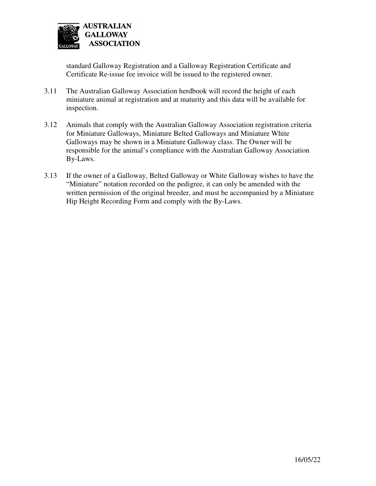

standard Galloway Registration and a Galloway Registration Certificate and Certificate Re-issue fee invoice will be issued to the registered owner.

- 3.11 The Australian Galloway Association herdbook will record the height of each miniature animal at registration and at maturity and this data will be available for inspection.
- 3.12 Animals that comply with the Australian Galloway Association registration criteria for Miniature Galloways, Miniature Belted Galloways and Miniature White Galloways may be shown in a Miniature Galloway class. The Owner will be responsible for the animal's compliance with the Australian Galloway Association By-Laws.
- 3.13 If the owner of a Galloway, Belted Galloway or White Galloway wishes to have the "Miniature" notation recorded on the pedigree, it can only be amended with the written permission of the original breeder, and must be accompanied by a Miniature Hip Height Recording Form and comply with the By-Laws.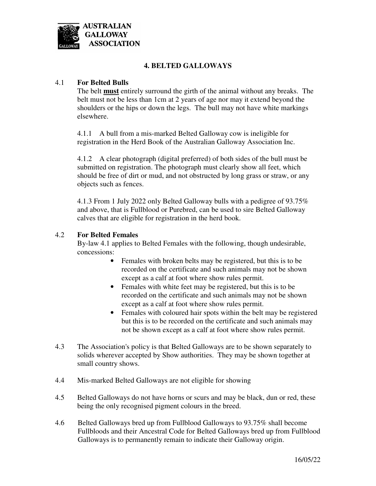

#### **4. BELTED GALLOWAYS**

#### 4.1 **For Belted Bulls**

The belt **must** entirely surround the girth of the animal without any breaks. The belt must not be less than 1cm at 2 years of age nor may it extend beyond the shoulders or the hips or down the legs. The bull may not have white markings elsewhere.

 4.1.1 A bull from a mis-marked Belted Galloway cow is ineligible for registration in the Herd Book of the Australian Galloway Association Inc.

 4.1.2 A clear photograph (digital preferred) of both sides of the bull must be submitted on registration. The photograph must clearly show all feet, which should be free of dirt or mud, and not obstructed by long grass or straw, or any objects such as fences.

 4.1.3 From 1 July 2022 only Belted Galloway bulls with a pedigree of 93.75% and above, that is Fullblood or Purebred, can be used to sire Belted Galloway calves that are eligible for registration in the herd book.

#### 4.2 **For Belted Females**

By-law 4.1 applies to Belted Females with the following, though undesirable, concessions:

- Females with broken belts may be registered, but this is to be recorded on the certificate and such animals may not be shown except as a calf at foot where show rules permit.
- Females with white feet may be registered, but this is to be recorded on the certificate and such animals may not be shown except as a calf at foot where show rules permit.
- Females with coloured hair spots within the belt may be registered but this is to be recorded on the certificate and such animals may not be shown except as a calf at foot where show rules permit.
- 4.3 The Association's policy is that Belted Galloways are to be shown separately to solids wherever accepted by Show authorities. They may be shown together at small country shows.
- 4.4 Mis-marked Belted Galloways are not eligible for showing
- 4.5 Belted Galloways do not have horns or scurs and may be black, dun or red, these being the only recognised pigment colours in the breed.
- 4.6 Belted Galloways bred up from Fullblood Galloways to 93.75% shall become Fullbloods and their Ancestral Code for Belted Galloways bred up from Fullblood Galloways is to permanently remain to indicate their Galloway origin.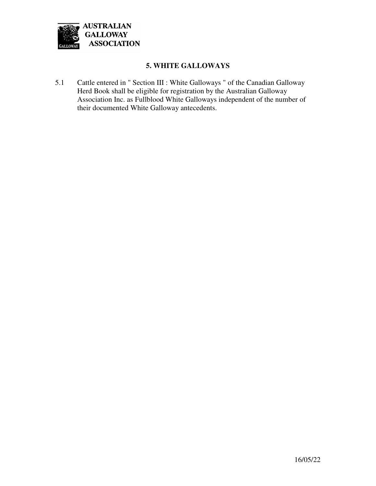

#### **5. WHITE GALLOWAYS**

5.1 Cattle entered in " Section III : White Galloways " of the Canadian Galloway Herd Book shall be eligible for registration by the Australian Galloway Association Inc. as Fullblood White Galloways independent of the number of their documented White Galloway antecedents.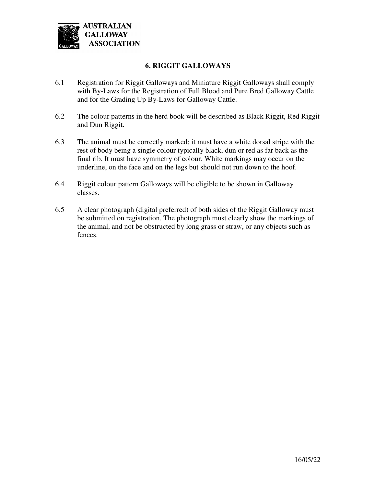

#### **6. RIGGIT GALLOWAYS**

- 6.1 Registration for Riggit Galloways and Miniature Riggit Galloways shall comply with By-Laws for the Registration of Full Blood and Pure Bred Galloway Cattle and for the Grading Up By-Laws for Galloway Cattle.
- 6.2 The colour patterns in the herd book will be described as Black Riggit, Red Riggit and Dun Riggit.
- 6.3 The animal must be correctly marked; it must have a white dorsal stripe with the rest of body being a single colour typically black, dun or red as far back as the final rib. It must have symmetry of colour. White markings may occur on the underline, on the face and on the legs but should not run down to the hoof.
- 6.4 Riggit colour pattern Galloways will be eligible to be shown in Galloway classes.
- 6.5 A clear photograph (digital preferred) of both sides of the Riggit Galloway must be submitted on registration. The photograph must clearly show the markings of the animal, and not be obstructed by long grass or straw, or any objects such as fences.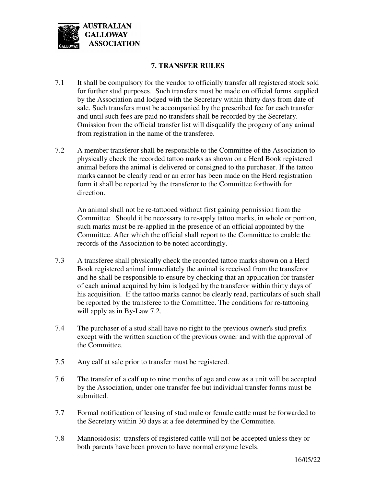

#### **7. TRANSFER RULES**

- 7.1 It shall be compulsory for the vendor to officially transfer all registered stock sold for further stud purposes. Such transfers must be made on official forms supplied by the Association and lodged with the Secretary within thirty days from date of sale. Such transfers must be accompanied by the prescribed fee for each transfer and until such fees are paid no transfers shall be recorded by the Secretary. Omission from the official transfer list will disqualify the progeny of any animal from registration in the name of the transferee.
- 7.2 A member transferor shall be responsible to the Committee of the Association to physically check the recorded tattoo marks as shown on a Herd Book registered animal before the animal is delivered or consigned to the purchaser. If the tattoo marks cannot be clearly read or an error has been made on the Herd registration form it shall be reported by the transferor to the Committee forthwith for direction.

 An animal shall not be re-tattooed without first gaining permission from the Committee. Should it be necessary to re-apply tattoo marks, in whole or portion, such marks must be re-applied in the presence of an official appointed by the Committee. After which the official shall report to the Committee to enable the records of the Association to be noted accordingly.

- 7.3 A transferee shall physically check the recorded tattoo marks shown on a Herd Book registered animal immediately the animal is received from the transferor and he shall be responsible to ensure by checking that an application for transfer of each animal acquired by him is lodged by the transferor within thirty days of his acquisition. If the tattoo marks cannot be clearly read, particulars of such shall be reported by the transferee to the Committee. The conditions for re-tattooing will apply as in By-Law 7.2.
- 7.4 The purchaser of a stud shall have no right to the previous owner's stud prefix except with the written sanction of the previous owner and with the approval of the Committee.
- 7.5 Any calf at sale prior to transfer must be registered.
- 7.6 The transfer of a calf up to nine months of age and cow as a unit will be accepted by the Association, under one transfer fee but individual transfer forms must be submitted.
- 7.7 Formal notification of leasing of stud male or female cattle must be forwarded to the Secretary within 30 days at a fee determined by the Committee.
- 7.8 Mannosidosis: transfers of registered cattle will not be accepted unless they or both parents have been proven to have normal enzyme levels.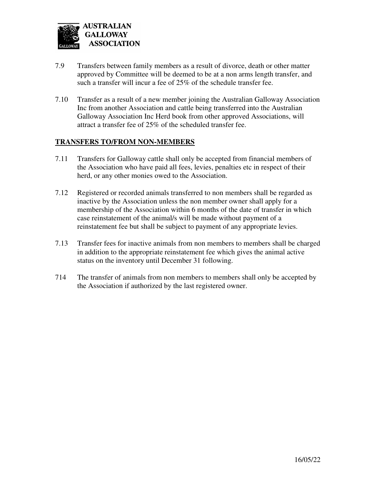

- 7.9 Transfers between family members as a result of divorce, death or other matter approved by Committee will be deemed to be at a non arms length transfer, and such a transfer will incur a fee of 25% of the schedule transfer fee.
- 7.10 Transfer as a result of a new member joining the Australian Galloway Association Inc from another Association and cattle being transferred into the Australian Galloway Association Inc Herd book from other approved Associations, will attract a transfer fee of 25% of the scheduled transfer fee.

#### **TRANSFERS TO/FROM NON-MEMBERS**

- 7.11 Transfers for Galloway cattle shall only be accepted from financial members of the Association who have paid all fees, levies, penalties etc in respect of their herd, or any other monies owed to the Association.
- 7.12 Registered or recorded animals transferred to non members shall be regarded as inactive by the Association unless the non member owner shall apply for a membership of the Association within 6 months of the date of transfer in which case reinstatement of the animal/s will be made without payment of a reinstatement fee but shall be subject to payment of any appropriate levies.
- 7.13 Transfer fees for inactive animals from non members to members shall be charged in addition to the appropriate reinstatement fee which gives the animal active status on the inventory until December 31 following.
- 714 The transfer of animals from non members to members shall only be accepted by the Association if authorized by the last registered owner.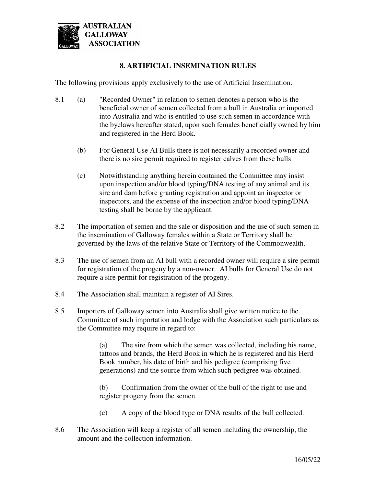

#### **8. ARTIFICIAL INSEMINATION RULES**

The following provisions apply exclusively to the use of Artificial Insemination.

- 8.1 (a) "Recorded Owner" in relation to semen denotes a person who is the beneficial owner of semen collected from a bull in Australia or imported into Australia and who is entitled to use such semen in accordance with the byelaws hereafter stated, upon such females beneficially owned by him and registered in the Herd Book.
	- (b) For General Use AI Bulls there is not necessarily a recorded owner and there is no sire permit required to register calves from these bulls
	- (c) Notwithstanding anything herein contained the Committee may insist upon inspection and/or blood typing/DNA testing of any animal and its sire and dam before granting registration and appoint an inspector or inspectors, and the expense of the inspection and/or blood typing/DNA testing shall be borne by the applicant.
- 8.2 The importation of semen and the sale or disposition and the use of such semen in the insemination of Galloway females within a State or Territory shall be governed by the laws of the relative State or Territory of the Commonwealth.
- 8.3 The use of semen from an AI bull with a recorded owner will require a sire permit for registration of the progeny by a non-owner. AI bulls for General Use do not require a sire permit for registration of the progeny.
- 8.4 The Association shall maintain a register of AI Sires.
- 8.5 Importers of Galloway semen into Australia shall give written notice to the Committee of such importation and lodge with the Association such particulars as the Committee may require in regard to:

 (a) The sire from which the semen was collected, including his name, tattoos and brands, the Herd Book in which he is registered and his Herd Book number, his date of birth and his pedigree (comprising five generations) and the source from which such pedigree was obtained.

 (b) Confirmation from the owner of the bull of the right to use and register progeny from the semen.

- (c) A copy of the blood type or DNA results of the bull collected.
- 8.6 The Association will keep a register of all semen including the ownership, the amount and the collection information.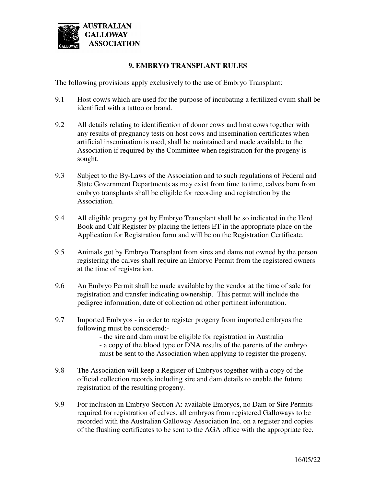

#### **9. EMBRYO TRANSPLANT RULES**

The following provisions apply exclusively to the use of Embryo Transplant:

- 9.1 Host cow/s which are used for the purpose of incubating a fertilized ovum shall be identified with a tattoo or brand.
- 9.2 All details relating to identification of donor cows and host cows together with any results of pregnancy tests on host cows and insemination certificates when artificial insemination is used, shall be maintained and made available to the Association if required by the Committee when registration for the progeny is sought.
- 9.3 Subject to the By-Laws of the Association and to such regulations of Federal and State Government Departments as may exist from time to time, calves born from embryo transplants shall be eligible for recording and registration by the Association.
- 9.4 All eligible progeny got by Embryo Transplant shall be so indicated in the Herd Book and Calf Register by placing the letters ET in the appropriate place on the Application for Registration form and will be on the Registration Certificate.
- 9.5 Animals got by Embryo Transplant from sires and dams not owned by the person registering the calves shall require an Embryo Permit from the registered owners at the time of registration.
- 9.6 An Embryo Permit shall be made available by the vendor at the time of sale for registration and transfer indicating ownership. This permit will include the pedigree information, date of collection ad other pertinent information.
- 9.7 Imported Embryos in order to register progeny from imported embryos the following must be considered:-

 - the sire and dam must be eligible for registration in Australia - a copy of the blood type or DNA results of the parents of the embryo must be sent to the Association when applying to register the progeny.

- 9.8 The Association will keep a Register of Embryos together with a copy of the official collection records including sire and dam details to enable the future registration of the resulting progeny.
- 9.9 For inclusion in Embryo Section A: available Embryos, no Dam or Sire Permits required for registration of calves, all embryos from registered Galloways to be recorded with the Australian Galloway Association Inc. on a register and copies of the flushing certificates to be sent to the AGA office with the appropriate fee.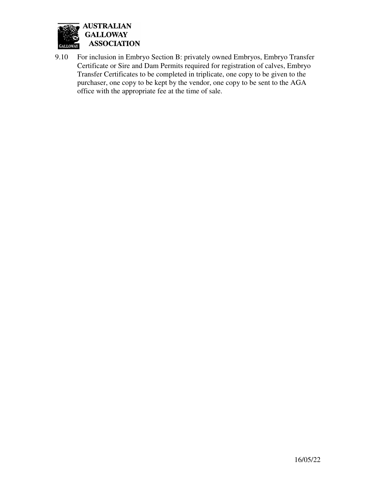

9.10 For inclusion in Embryo Section B: privately owned Embryos, Embryo Transfer Certificate or Sire and Dam Permits required for registration of calves, Embryo Transfer Certificates to be completed in triplicate, one copy to be given to the purchaser, one copy to be kept by the vendor, one copy to be sent to the AGA office with the appropriate fee at the time of sale.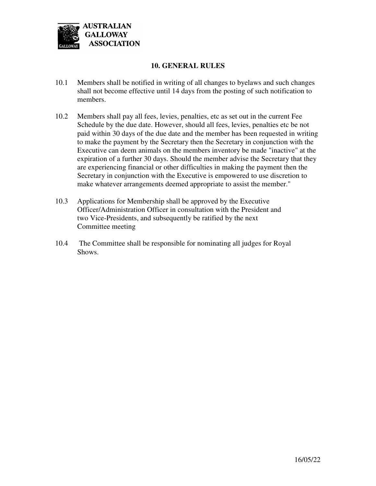

#### **10. GENERAL RULES**

- 10.1 Members shall be notified in writing of all changes to byelaws and such changes shall not become effective until 14 days from the posting of such notification to members.
- 10.2 Members shall pay all fees, levies, penalties, etc as set out in the current Fee Schedule by the due date. However, should all fees, levies, penalties etc be not paid within 30 days of the due date and the member has been requested in writing to make the payment by the Secretary then the Secretary in conjunction with the Executive can deem animals on the members inventory be made "inactive" at the expiration of a further 30 days. Should the member advise the Secretary that they are experiencing financial or other difficulties in making the payment then the Secretary in conjunction with the Executive is empowered to use discretion to make whatever arrangements deemed appropriate to assist the member."
- 10.3 Applications for Membership shall be approved by the Executive Officer/Administration Officer in consultation with the President and two Vice-Presidents, and subsequently be ratified by the next Committee meeting
- 10.4 The Committee shall be responsible for nominating all judges for Royal Shows.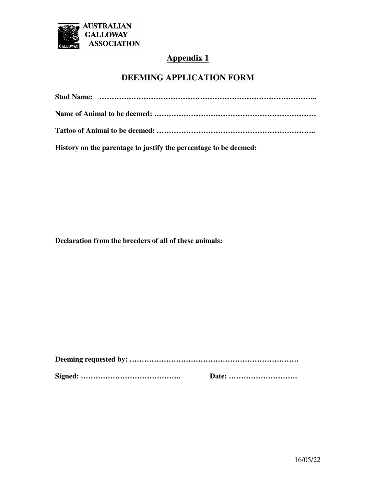

## **Appendix 1**

### **DEEMING APPLICATION FORM**

**History on the parentage to justify the percentage to be deemed:** 

**Declaration from the breeders of all of these animals:**